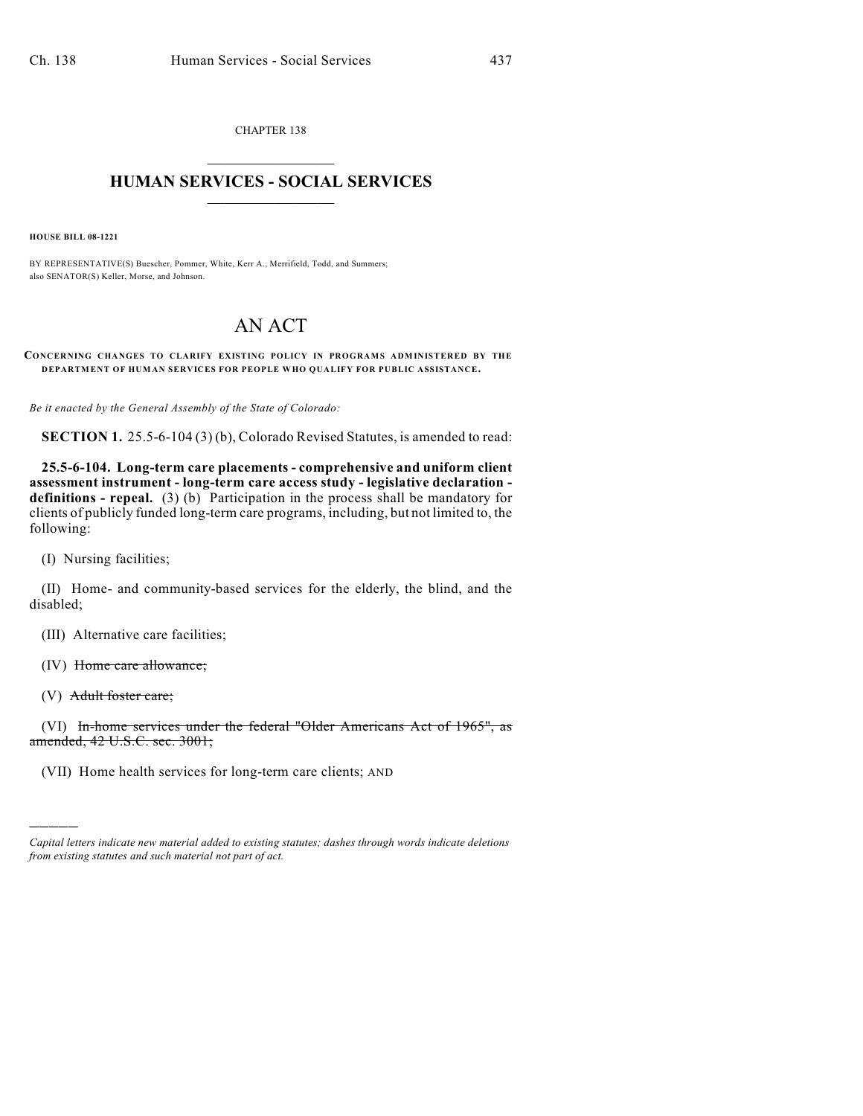CHAPTER 138  $\mathcal{L}_\text{max}$  . The set of the set of the set of the set of the set of the set of the set of the set of the set of the set of the set of the set of the set of the set of the set of the set of the set of the set of the set

## **HUMAN SERVICES - SOCIAL SERVICES**  $\frac{1}{2}$  ,  $\frac{1}{2}$  ,  $\frac{1}{2}$  ,  $\frac{1}{2}$  ,  $\frac{1}{2}$  ,  $\frac{1}{2}$  ,  $\frac{1}{2}$

**HOUSE BILL 08-1221**

BY REPRESENTATIVE(S) Buescher, Pommer, White, Kerr A., Merrifield, Todd, and Summers; also SENATOR(S) Keller, Morse, and Johnson.

## AN ACT

## **CONCERNING CHANGES TO CLARIFY EXISTING POLICY IN PROGRAMS ADMINISTERED BY THE DEPARTMENT OF HUMAN SERVICES FOR PEOPLE WHO QUALIFY FOR PUBLIC ASSISTANCE.**

*Be it enacted by the General Assembly of the State of Colorado:*

**SECTION 1.** 25.5-6-104 (3) (b), Colorado Revised Statutes, is amended to read:

**25.5-6-104. Long-term care placements - comprehensive and uniform client assessment instrument - long-term care access study - legislative declaration definitions - repeal.** (3) (b) Participation in the process shall be mandatory for clients of publicly funded long-term care programs, including, but not limited to, the following:

(I) Nursing facilities;

(II) Home- and community-based services for the elderly, the blind, and the disabled;

(III) Alternative care facilities;

(IV) Home care allowance;

(V) Adult foster care;

)))))

(VI) In-home services under the federal "Older Americans Act of 1965", as amended, 42 U.S.C. sec. 3001;

(VII) Home health services for long-term care clients; AND

*Capital letters indicate new material added to existing statutes; dashes through words indicate deletions from existing statutes and such material not part of act.*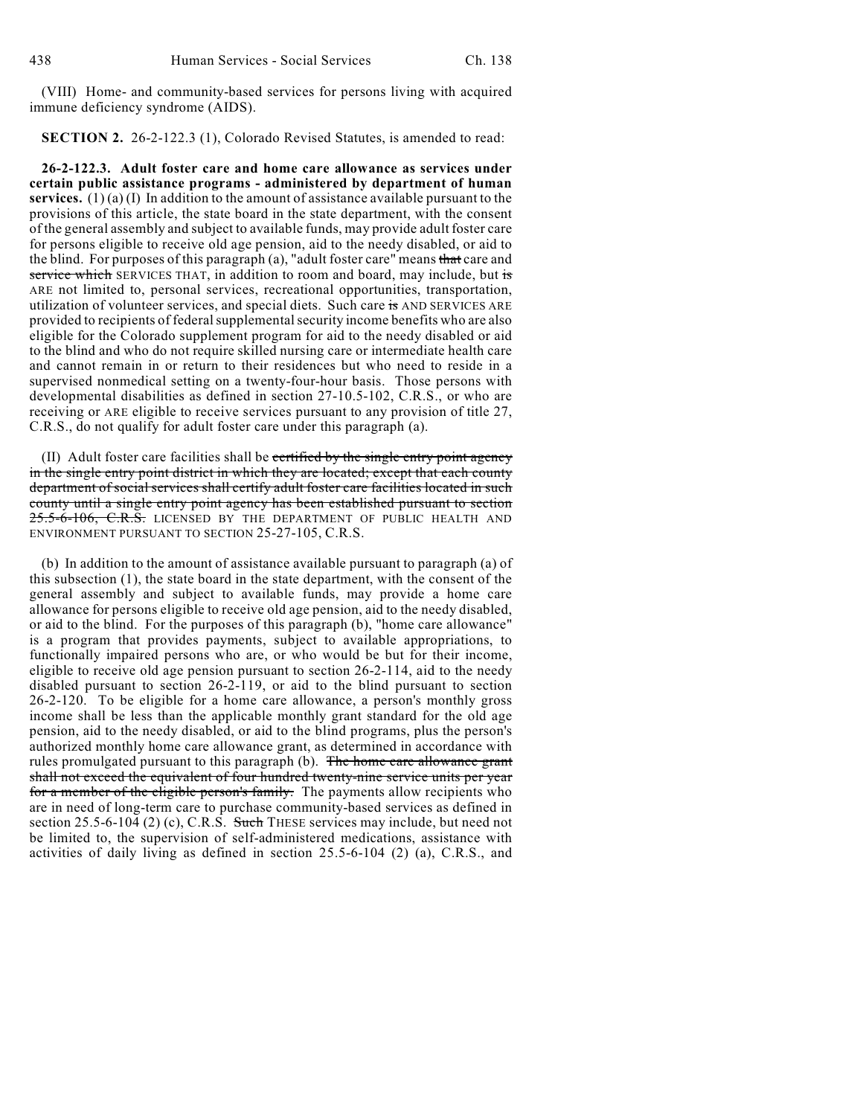(VIII) Home- and community-based services for persons living with acquired immune deficiency syndrome (AIDS).

**SECTION 2.** 26-2-122.3 (1), Colorado Revised Statutes, is amended to read:

**26-2-122.3. Adult foster care and home care allowance as services under certain public assistance programs - administered by department of human services.** (1) (a) (I) In addition to the amount of assistance available pursuant to the provisions of this article, the state board in the state department, with the consent of the general assembly and subject to available funds, may provide adult foster care for persons eligible to receive old age pension, aid to the needy disabled, or aid to the blind. For purposes of this paragraph (a), "adult foster care" means that care and service which SERVICES THAT, in addition to room and board, may include, but is ARE not limited to, personal services, recreational opportunities, transportation, utilization of volunteer services, and special diets. Such care is AND SERVICES ARE provided to recipients of federal supplemental security income benefits who are also eligible for the Colorado supplement program for aid to the needy disabled or aid to the blind and who do not require skilled nursing care or intermediate health care and cannot remain in or return to their residences but who need to reside in a supervised nonmedical setting on a twenty-four-hour basis. Those persons with developmental disabilities as defined in section 27-10.5-102, C.R.S., or who are receiving or ARE eligible to receive services pursuant to any provision of title 27, C.R.S., do not qualify for adult foster care under this paragraph (a).

(II) Adult foster care facilities shall be certified by the single entry point agency in the single entry point district in which they are located; except that each county department of social services shall certify adult foster care facilities located in such county until a single entry point agency has been established pursuant to section 25.5-6-106, C.R.S. LICENSED BY THE DEPARTMENT OF PUBLIC HEALTH AND ENVIRONMENT PURSUANT TO SECTION 25-27-105, C.R.S.

(b) In addition to the amount of assistance available pursuant to paragraph (a) of this subsection (1), the state board in the state department, with the consent of the general assembly and subject to available funds, may provide a home care allowance for persons eligible to receive old age pension, aid to the needy disabled, or aid to the blind. For the purposes of this paragraph (b), "home care allowance" is a program that provides payments, subject to available appropriations, to functionally impaired persons who are, or who would be but for their income, eligible to receive old age pension pursuant to section 26-2-114, aid to the needy disabled pursuant to section 26-2-119, or aid to the blind pursuant to section 26-2-120. To be eligible for a home care allowance, a person's monthly gross income shall be less than the applicable monthly grant standard for the old age pension, aid to the needy disabled, or aid to the blind programs, plus the person's authorized monthly home care allowance grant, as determined in accordance with rules promulgated pursuant to this paragraph (b). The home care allowance grant shall not exceed the equivalent of four hundred twenty-nine service units per year for a member of the eligible person's family. The payments allow recipients who are in need of long-term care to purchase community-based services as defined in section 25.5-6-104 (2) (c), C.R.S. Such THESE services may include, but need not be limited to, the supervision of self-administered medications, assistance with activities of daily living as defined in section 25.5-6-104 (2) (a), C.R.S., and